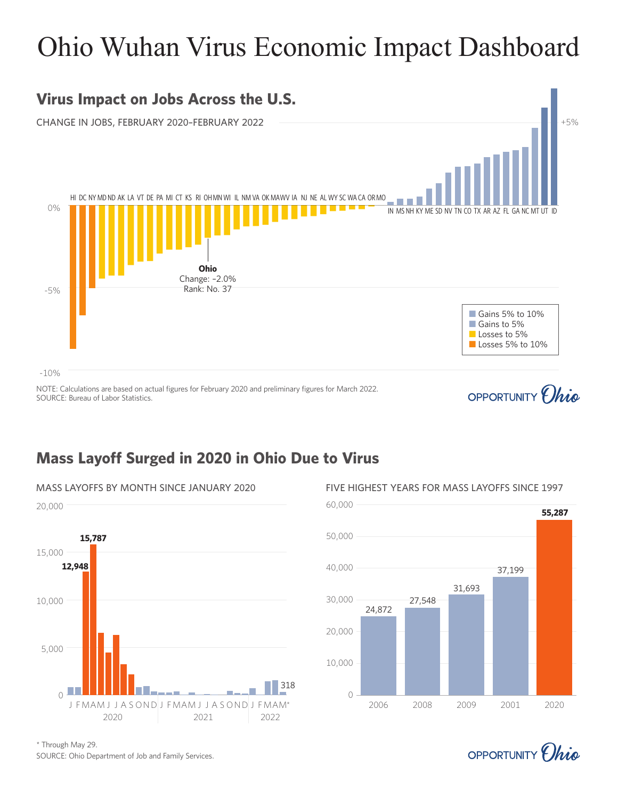# Ohio Wuhan Virus Economic Impact Dashboard



### **Mass Layoff Surged in 2020 in Ohio Due to Virus**





OPPORTUNITY *(hig* 

\* Through May 29.

SOURCE: Ohio Department of Job and Family Services.